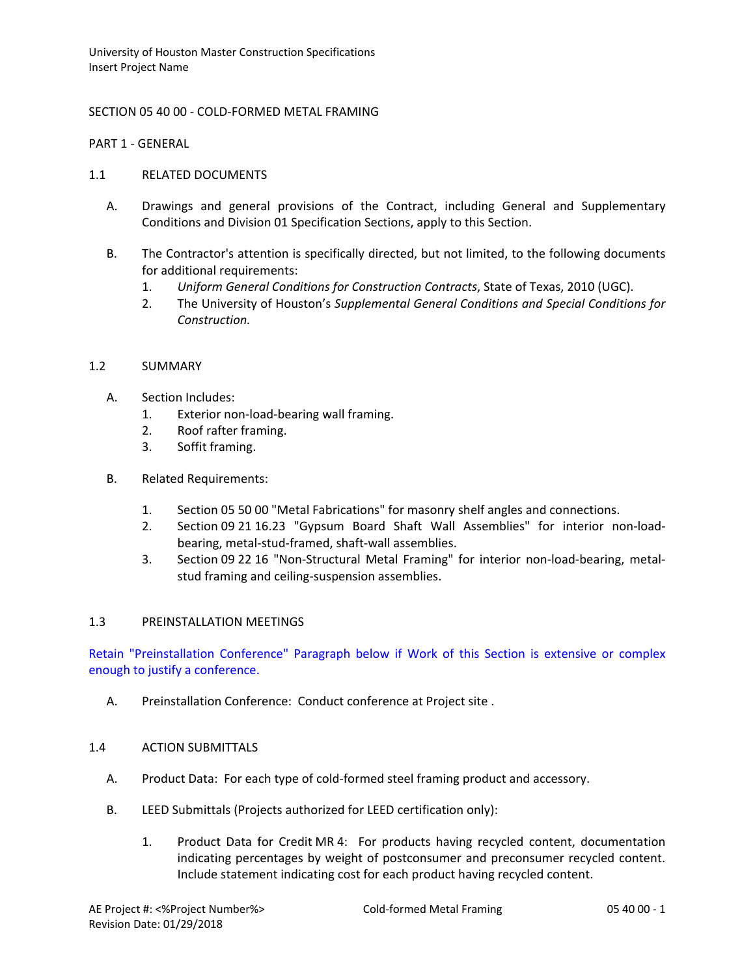## SECTION 05 40 00 - COLD-FORMED METAL FRAMING

PART 1 - GENERAL

#### 1.1 RELATED DOCUMENTS

- A. Drawings and general provisions of the Contract, including General and Supplementary Conditions and Division 01 Specification Sections, apply to this Section.
- B. The Contractor's attention is specifically directed, but not limited, to the following documents for additional requirements:
	- 1. *Uniform General Conditions for Construction Contracts*, State of Texas, 2010 (UGC).
	- 2. The University of Houston's *Supplemental General Conditions and Special Conditions for Construction.*

## 1.2 SUMMARY

- A. Section Includes:
	- 1. Exterior non-load-bearing wall framing.
	- 2. Roof rafter framing.
	- 3. Soffit framing.
- B. Related Requirements:
	- 1. Section 05 50 00 "Metal Fabrications" for masonry shelf angles and connections.
	- 2. Section 09 21 16.23 "Gypsum Board Shaft Wall Assemblies" for interior non-loadbearing, metal-stud-framed, shaft-wall assemblies.
	- 3. Section 09 22 16 "Non-Structural Metal Framing" for interior non-load-bearing, metalstud framing and ceiling-suspension assemblies.

#### 1.3 PREINSTALLATION MEETINGS

Retain "Preinstallation Conference" Paragraph below if Work of this Section is extensive or complex enough to justify a conference.

A. Preinstallation Conference: Conduct conference at Project site .

#### 1.4 ACTION SUBMITTALS

- A. Product Data: For each type of cold-formed steel framing product and accessory.
- B. LEED Submittals (Projects authorized for LEED certification only):
	- 1. Product Data for Credit MR 4: For products having recycled content, documentation indicating percentages by weight of postconsumer and preconsumer recycled content. Include statement indicating cost for each product having recycled content.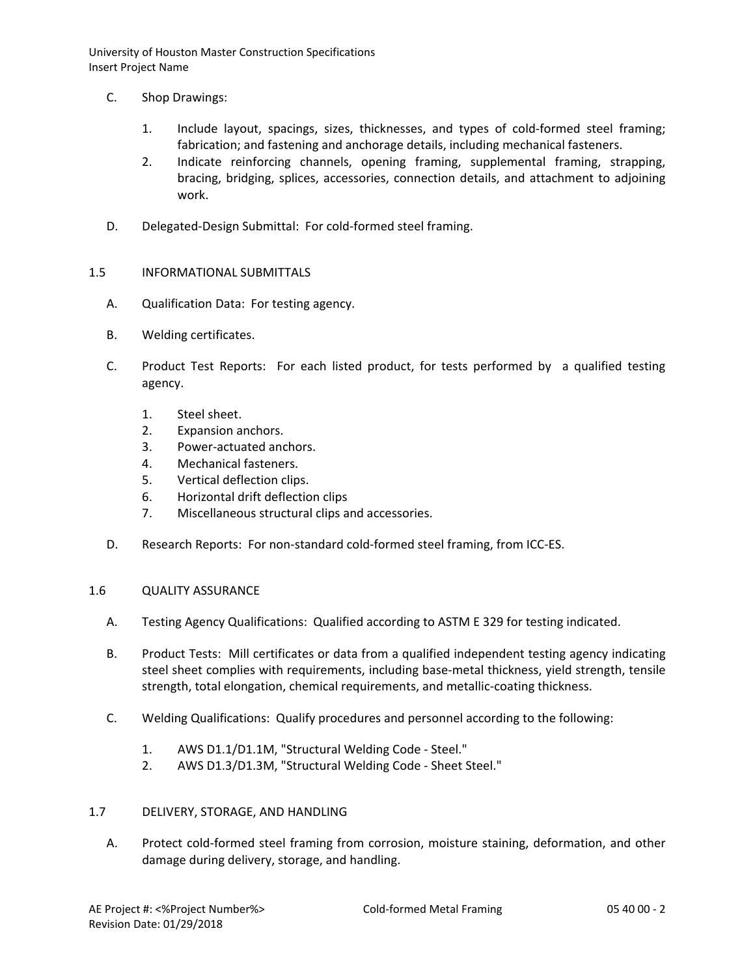- C. Shop Drawings:
	- 1. Include layout, spacings, sizes, thicknesses, and types of cold-formed steel framing; fabrication; and fastening and anchorage details, including mechanical fasteners.
	- 2. Indicate reinforcing channels, opening framing, supplemental framing, strapping, bracing, bridging, splices, accessories, connection details, and attachment to adjoining work.
- D. Delegated-Design Submittal: For cold-formed steel framing.
- 1.5 INFORMATIONAL SUBMITTALS
	- A. Qualification Data: For testing agency.
	- B. Welding certificates.
	- C. Product Test Reports: For each listed product, for tests performed by a qualified testing agency.
		- 1. Steel sheet.
		- 2. Expansion anchors.
		- 3. Power-actuated anchors.
		- 4. Mechanical fasteners.
		- 5. Vertical deflection clips.
		- 6. Horizontal drift deflection clips
		- 7. Miscellaneous structural clips and accessories.
	- D. Research Reports: For non-standard cold-formed steel framing, from ICC-ES.

# 1.6 QUALITY ASSURANCE

- A. Testing Agency Qualifications: Qualified according to ASTM E 329 for testing indicated.
- B. Product Tests: Mill certificates or data from a qualified independent testing agency indicating steel sheet complies with requirements, including base-metal thickness, yield strength, tensile strength, total elongation, chemical requirements, and metallic-coating thickness.
- C. Welding Qualifications: Qualify procedures and personnel according to the following:
	- 1. AWS D1.1/D1.1M, "Structural Welding Code Steel."
	- 2. AWS D1.3/D1.3M, "Structural Welding Code Sheet Steel."

# 1.7 DELIVERY, STORAGE, AND HANDLING

A. Protect cold-formed steel framing from corrosion, moisture staining, deformation, and other damage during delivery, storage, and handling.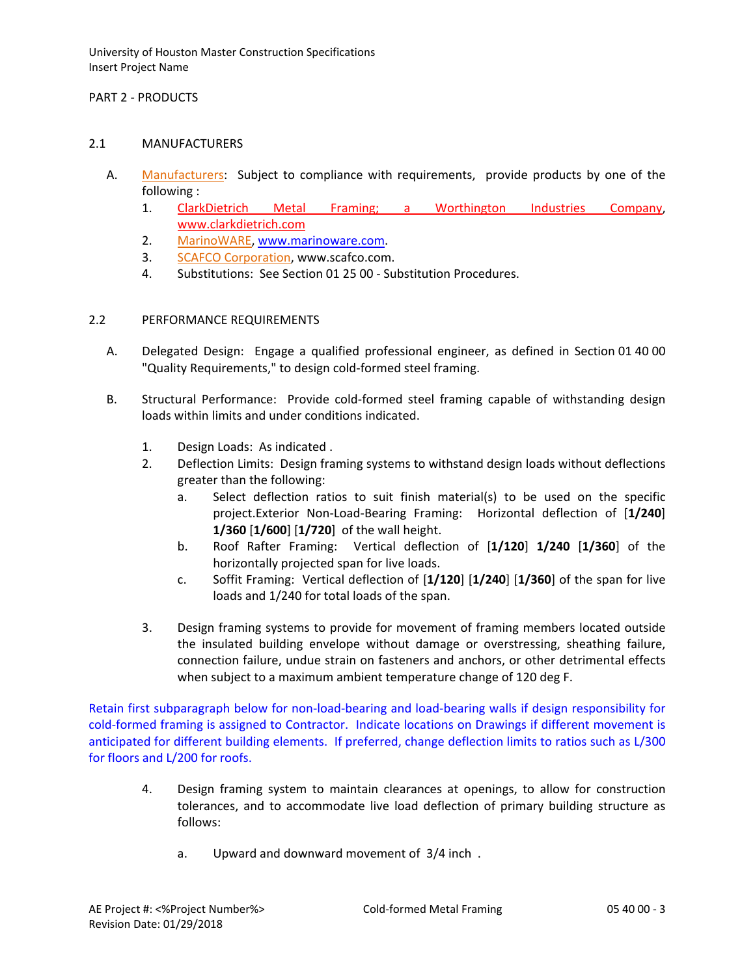## PART 2 - PRODUCTS

#### 2.1 MANUFACTURERS

- A. [Manufacturers:](http://www.specagent.com/LookUp/?ulid=6242&mf=04&src=wd) Subject to compliance with requirements, provide products by one of the following :
	- 1. Clar[kDietrich Metal Framing; a Worthington Industries Company,](http://www.specagent.com/LookUp/?uid=123456828488&mf=04&src=wd) [www.clarkdietrich.com](http://www.clarkdietrich.com/)
	- 2. [MarinoWARE,](http://www.specagent.com/LookUp/?uid=123456828490%7EM.$M%7EMBA%20Building%20Supplies,%20Inc%7E$m%7E123456830648&mf=04&src=wd) [www.marinoware.com.](http://www.marinoware.com/)
	- 3. [SCAFCO Corporation,](http://www.specagent.com/LookUp/?uid=123456828492&mf=04&src=wd) www.scafco.com.
	- 4. Substitutions: See Section 01 25 00 Substitution Procedures.

### 2.2 PERFORMANCE REQUIREMENTS

- A. Delegated Design: Engage a qualified professional engineer, as defined in Section 01 40 00 "Quality Requirements," to design cold-formed steel framing.
- B. Structural Performance: Provide cold-formed steel framing capable of withstanding design loads within limits and under conditions indicated.
	- 1. Design Loads: As indicated .
	- 2. Deflection Limits: Design framing systems to withstand design loads without deflections greater than the following:
		- a. Select deflection ratios to suit finish material(s) to be used on the specific project.Exterior Non-Load-Bearing Framing: Horizontal deflection of [**1/240**] **1/360** [**1/600**] [**1/720**] of the wall height.
		- b. Roof Rafter Framing: Vertical deflection of [**1/120**] **1/240** [**1/360**] of the horizontally projected span for live loads.
		- c. Soffit Framing: Vertical deflection of [**1/120**] [**1/240**] [**1/360**] of the span for live loads and 1/240 for total loads of the span.
	- 3. Design framing systems to provide for movement of framing members located outside the insulated building envelope without damage or overstressing, sheathing failure, connection failure, undue strain on fasteners and anchors, or other detrimental effects when subject to a maximum ambient temperature change of 120 deg F.

Retain first subparagraph below for non-load-bearing and load-bearing walls if design responsibility for cold-formed framing is assigned to Contractor. Indicate locations on Drawings if different movement is anticipated for different building elements. If preferred, change deflection limits to ratios such as L/300 for floors and L/200 for roofs.

- 4. Design framing system to maintain clearances at openings, to allow for construction tolerances, and to accommodate live load deflection of primary building structure as follows:
	- a. Upward and downward movement of 3/4 inch .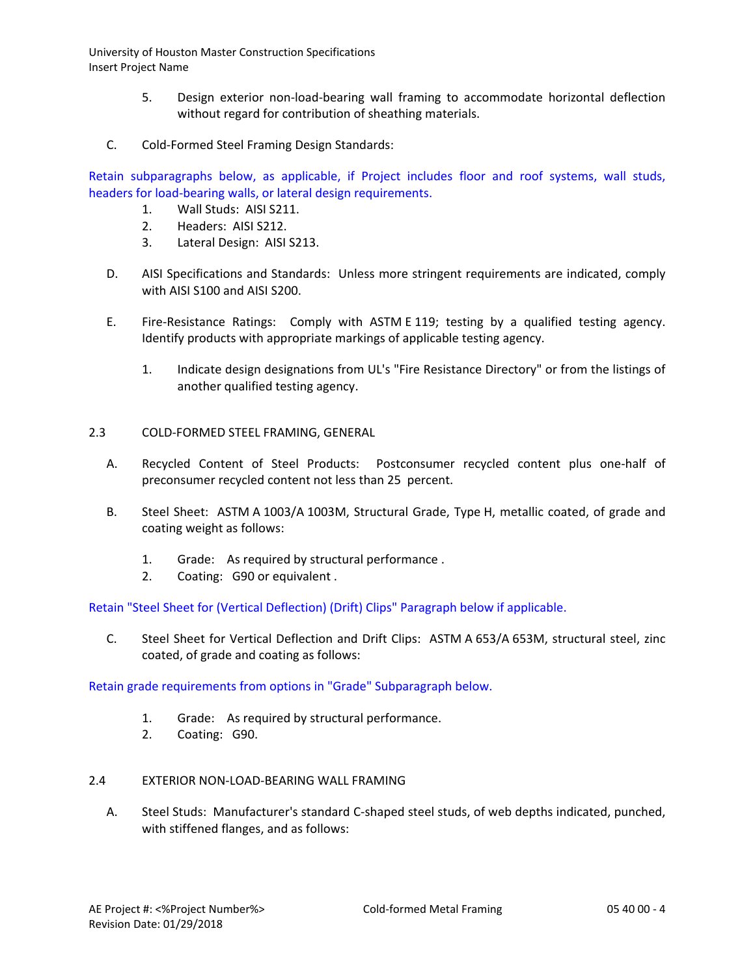- 5. Design exterior non-load-bearing wall framing to accommodate horizontal deflection without regard for contribution of sheathing materials.
- C. Cold-Formed Steel Framing Design Standards:

Retain subparagraphs below, as applicable, if Project includes floor and roof systems, wall studs, headers for load-bearing walls, or lateral design requirements.

- 1. Wall Studs: AISI S211.
- 2. Headers: AISI S212.
- 3. Lateral Design: AISI S213.
- D. AISI Specifications and Standards: Unless more stringent requirements are indicated, comply with AISI S100 and AISI S200.
- E. Fire-Resistance Ratings: Comply with ASTM E 119; testing by a qualified testing agency. Identify products with appropriate markings of applicable testing agency.
	- 1. Indicate design designations from UL's "Fire Resistance Directory" or from the listings of another qualified testing agency.
- 2.3 COLD-FORMED STEEL FRAMING, GENERAL
	- A. Recycled Content of Steel Products: Postconsumer recycled content plus one-half of preconsumer recycled content not less than 25 percent.
	- B. Steel Sheet: ASTM A 1003/A 1003M, Structural Grade, Type H, metallic coated, of grade and coating weight as follows:
		- 1. Grade: As required by structural performance .
		- 2. Coating: G90 or equivalent .

Retain "Steel Sheet for (Vertical Deflection) (Drift) Clips" Paragraph below if applicable.

C. Steel Sheet for Vertical Deflection and Drift Clips: ASTM A 653/A 653M, structural steel, zinc coated, of grade and coating as follows:

Retain grade requirements from options in "Grade" Subparagraph below.

- 1. Grade: As required by structural performance.
- 2. Coating: G90.
- 2.4 EXTERIOR NON-LOAD-BEARING WALL FRAMING
	- A. Steel Studs: Manufacturer's standard C-shaped steel studs, of web depths indicated, punched, with stiffened flanges, and as follows: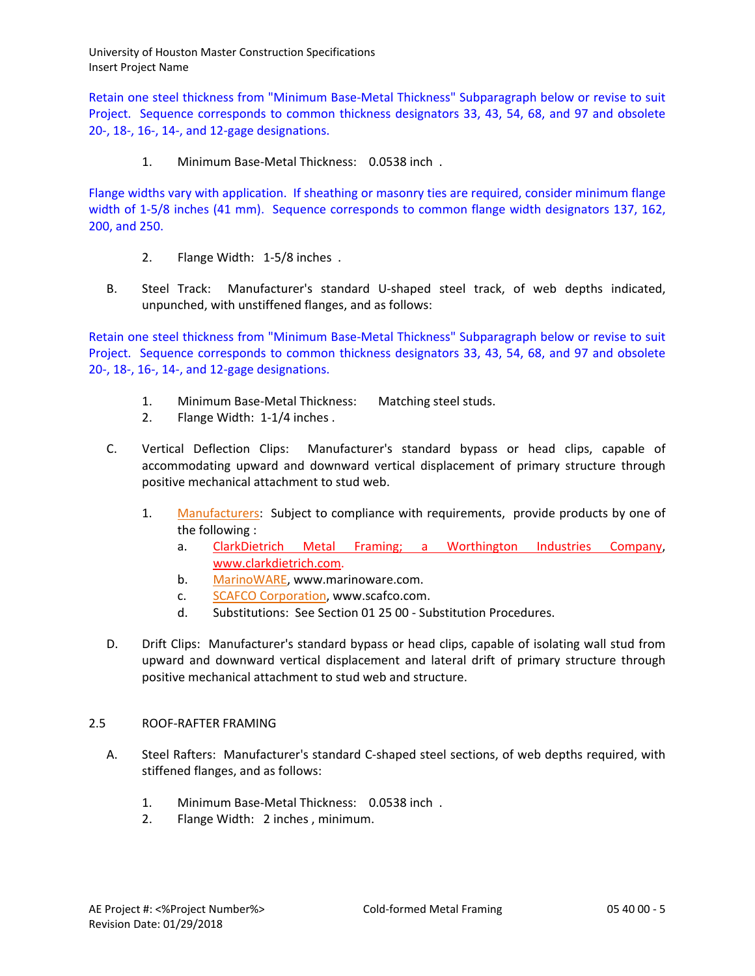Retain one steel thickness from "Minimum Base-Metal Thickness" Subparagraph below or revise to suit Project. Sequence corresponds to common thickness designators 33, 43, 54, 68, and 97 and obsolete 20-, 18-, 16-, 14-, and 12-gage designations.

1. Minimum Base-Metal Thickness: 0.0538 inch .

Flange widths vary with application. If sheathing or masonry ties are required, consider minimum flange width of 1-5/8 inches (41 mm). Sequence corresponds to common flange width designators 137, 162, 200, and 250.

- 2. Flange Width: 1-5/8 inches .
- B. Steel Track: Manufacturer's standard U-shaped steel track, of web depths indicated, unpunched, with unstiffened flanges, and as follows:

Retain one steel thickness from "Minimum Base-Metal Thickness" Subparagraph below or revise to suit Project. Sequence corresponds to common thickness designators 33, 43, 54, 68, and 97 and obsolete 20-, 18-, 16-, 14-, and 12-gage designations.

- 1. Minimum Base-Metal Thickness: Matching steel studs.
- 2. Flange Width: 1-1/4 inches .
- C. Vertical Deflection Clips: Manufacturer's standard bypass or head clips, capable of accommodating upward and downward vertical displacement of primary structure through positive mechanical attachment to stud web.
	- 1. [Manufacturers:](http://www.specagent.com/LookUp/?ulid=6243&mf=04&src=wd) Subject to compliance with requirements, provide products by one of the following :
		- a. Clar[kDietrich Metal Framing; a Worthington Industries Company,](http://www.specagent.com/LookUp/?uid=123456828488&mf=04&src=wd) [www.clarkdietrich.com.](http://www.clarkdietrich.com/)
		- b. [MarinoWARE,](http://www.specagent.com/LookUp/?uid=123456828501&mf=04&src=wd) www.marinoware.com.
		- c. [SCAFCO Corporation,](http://www.specagent.com/LookUp/?uid=123456828502&mf=04&src=wd) www.scafco.com.
		- d. Substitutions: See Section 01 25 00 Substitution Procedures.
- D. Drift Clips: Manufacturer's standard bypass or head clips, capable of isolating wall stud from upward and downward vertical displacement and lateral drift of primary structure through positive mechanical attachment to stud web and structure.

# 2.5 ROOF-RAFTER FRAMING

- A. Steel Rafters: Manufacturer's standard C-shaped steel sections, of web depths required, with stiffened flanges, and as follows:
	- 1. Minimum Base-Metal Thickness: 0.0538 inch .
	- 2. Flange Width: 2 inches , minimum.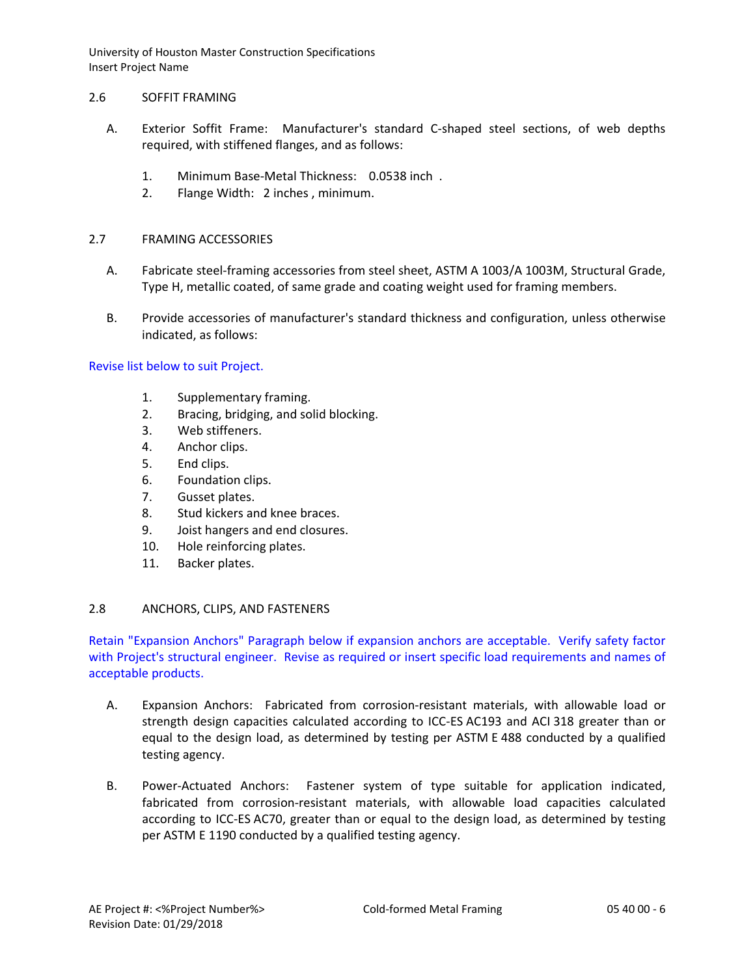### 2.6 SOFFIT FRAMING

- A. Exterior Soffit Frame: Manufacturer's standard C-shaped steel sections, of web depths required, with stiffened flanges, and as follows:
	- 1. Minimum Base-Metal Thickness: 0.0538 inch .
	- 2. Flange Width: 2 inches , minimum.

# 2.7 FRAMING ACCESSORIES

- A. Fabricate steel-framing accessories from steel sheet, ASTM A 1003/A 1003M, Structural Grade, Type H, metallic coated, of same grade and coating weight used for framing members.
- B. Provide accessories of manufacturer's standard thickness and configuration, unless otherwise indicated, as follows:

### Revise list below to suit Project.

- 1. Supplementary framing.
- 2. Bracing, bridging, and solid blocking.
- 3. Web stiffeners.
- 4. Anchor clips.
- 5. End clips.
- 6. Foundation clips.
- 7. Gusset plates.
- 8. Stud kickers and knee braces.
- 9. Joist hangers and end closures.
- 10. Hole reinforcing plates.
- 11. Backer plates.

# 2.8 ANCHORS, CLIPS, AND FASTENERS

Retain "Expansion Anchors" Paragraph below if expansion anchors are acceptable. Verify safety factor with Project's structural engineer. Revise as required or insert specific load requirements and names of acceptable products.

- A. Expansion Anchors: Fabricated from corrosion-resistant materials, with allowable load or strength design capacities calculated according to ICC-ES AC193 and ACI 318 greater than or equal to the design load, as determined by testing per ASTM E 488 conducted by a qualified testing agency.
- B. Power-Actuated Anchors: Fastener system of type suitable for application indicated, fabricated from corrosion-resistant materials, with allowable load capacities calculated according to ICC-ES AC70, greater than or equal to the design load, as determined by testing per ASTM E 1190 conducted by a qualified testing agency.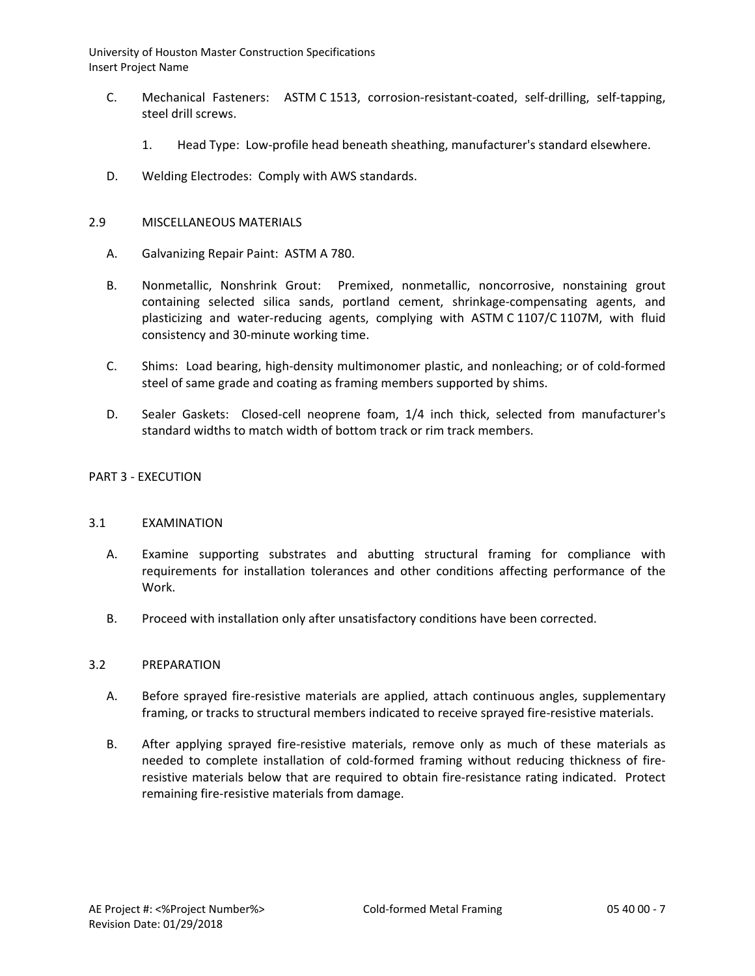- C. Mechanical Fasteners: ASTM C 1513, corrosion-resistant-coated, self-drilling, self-tapping, steel drill screws.
	- 1. Head Type: Low-profile head beneath sheathing, manufacturer's standard elsewhere.
- D. Welding Electrodes: Comply with AWS standards.

### 2.9 MISCELLANEOUS MATERIALS

- A. Galvanizing Repair Paint: ASTM A 780.
- B. Nonmetallic, Nonshrink Grout: Premixed, nonmetallic, noncorrosive, nonstaining grout containing selected silica sands, portland cement, shrinkage-compensating agents, and plasticizing and water-reducing agents, complying with ASTM C 1107/C 1107M, with fluid consistency and 30-minute working time.
- C. Shims: Load bearing, high-density multimonomer plastic, and nonleaching; or of cold-formed steel of same grade and coating as framing members supported by shims.
- D. Sealer Gaskets: Closed-cell neoprene foam, 1/4 inch thick, selected from manufacturer's standard widths to match width of bottom track or rim track members.

### PART 3 - EXECUTION

#### 3.1 EXAMINATION

- A. Examine supporting substrates and abutting structural framing for compliance with requirements for installation tolerances and other conditions affecting performance of the Work.
- B. Proceed with installation only after unsatisfactory conditions have been corrected.

### 3.2 PREPARATION

- A. Before sprayed fire-resistive materials are applied, attach continuous angles, supplementary framing, or tracks to structural members indicated to receive sprayed fire-resistive materials.
- B. After applying sprayed fire-resistive materials, remove only as much of these materials as needed to complete installation of cold-formed framing without reducing thickness of fireresistive materials below that are required to obtain fire-resistance rating indicated. Protect remaining fire-resistive materials from damage.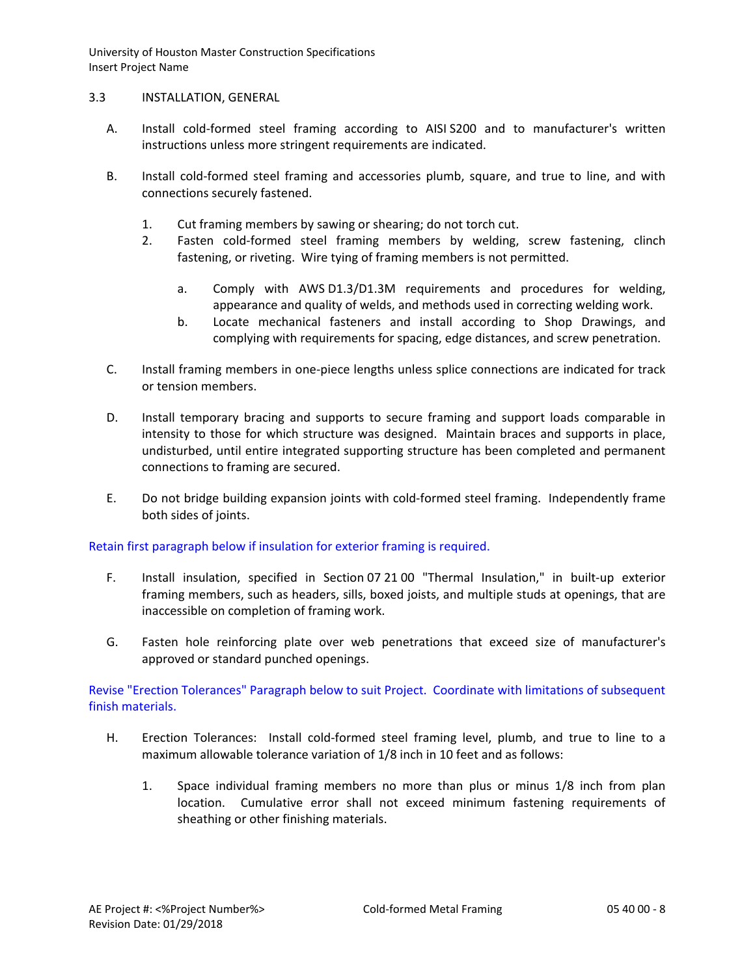## 3.3 INSTALLATION, GENERAL

- A. Install cold-formed steel framing according to AISI S200 and to manufacturer's written instructions unless more stringent requirements are indicated.
- B. Install cold-formed steel framing and accessories plumb, square, and true to line, and with connections securely fastened.
	- 1. Cut framing members by sawing or shearing; do not torch cut.
	- 2. Fasten cold-formed steel framing members by welding, screw fastening, clinch fastening, or riveting. Wire tying of framing members is not permitted.
		- a. Comply with AWS D1.3/D1.3M requirements and procedures for welding, appearance and quality of welds, and methods used in correcting welding work.
		- b. Locate mechanical fasteners and install according to Shop Drawings, and complying with requirements for spacing, edge distances, and screw penetration.
- C. Install framing members in one-piece lengths unless splice connections are indicated for track or tension members.
- D. Install temporary bracing and supports to secure framing and support loads comparable in intensity to those for which structure was designed. Maintain braces and supports in place, undisturbed, until entire integrated supporting structure has been completed and permanent connections to framing are secured.
- E. Do not bridge building expansion joints with cold-formed steel framing. Independently frame both sides of joints.

# Retain first paragraph below if insulation for exterior framing is required.

- F. Install insulation, specified in Section 07 21 00 "Thermal Insulation," in built-up exterior framing members, such as headers, sills, boxed joists, and multiple studs at openings, that are inaccessible on completion of framing work.
- G. Fasten hole reinforcing plate over web penetrations that exceed size of manufacturer's approved or standard punched openings.

Revise "Erection Tolerances" Paragraph below to suit Project. Coordinate with limitations of subsequent finish materials.

- H. Erection Tolerances: Install cold-formed steel framing level, plumb, and true to line to a maximum allowable tolerance variation of 1/8 inch in 10 feet and as follows:
	- 1. Space individual framing members no more than plus or minus 1/8 inch from plan location. Cumulative error shall not exceed minimum fastening requirements of sheathing or other finishing materials.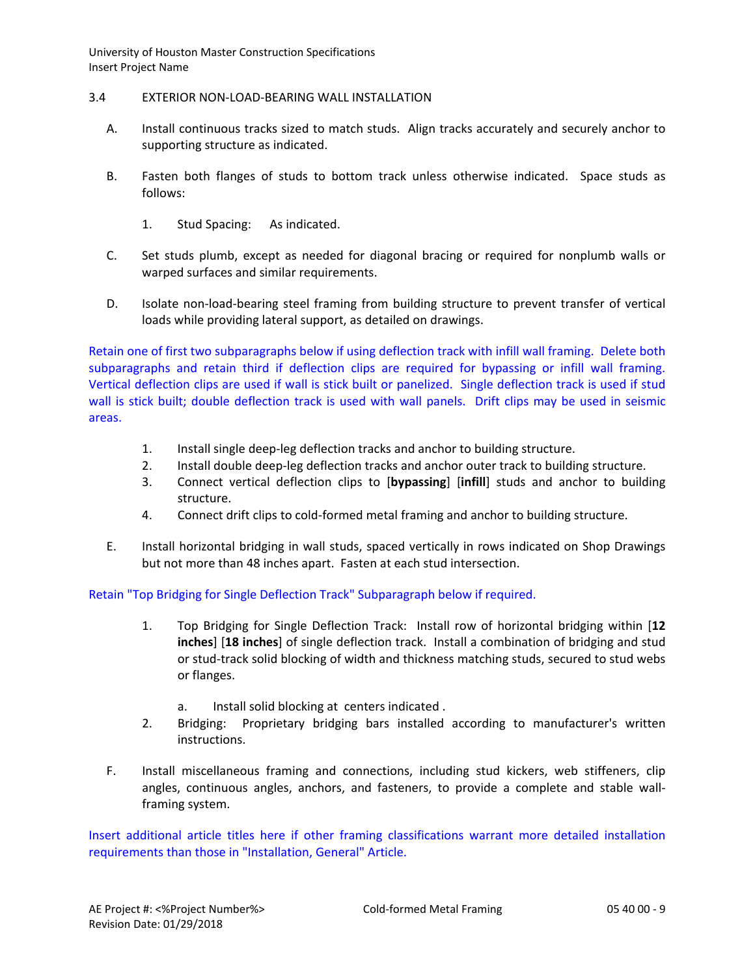### 3.4 EXTERIOR NON-LOAD-BEARING WALL INSTALLATION

- A. Install continuous tracks sized to match studs. Align tracks accurately and securely anchor to supporting structure as indicated.
- B. Fasten both flanges of studs to bottom track unless otherwise indicated. Space studs as follows:
	- 1. Stud Spacing: As indicated.
- C. Set studs plumb, except as needed for diagonal bracing or required for nonplumb walls or warped surfaces and similar requirements.
- D. Isolate non-load-bearing steel framing from building structure to prevent transfer of vertical loads while providing lateral support, as detailed on drawings.

Retain one of first two subparagraphs below if using deflection track with infill wall framing. Delete both subparagraphs and retain third if deflection clips are required for bypassing or infill wall framing. Vertical deflection clips are used if wall is stick built or panelized. Single deflection track is used if stud wall is stick built; double deflection track is used with wall panels. Drift clips may be used in seismic areas.

- 1. Install single deep-leg deflection tracks and anchor to building structure.
- 2. Install double deep-leg deflection tracks and anchor outer track to building structure.
- 3. Connect vertical deflection clips to [**bypassing**] [**infill**] studs and anchor to building structure.
- 4. Connect drift clips to cold-formed metal framing and anchor to building structure.
- E. Install horizontal bridging in wall studs, spaced vertically in rows indicated on Shop Drawings but not more than 48 inches apart. Fasten at each stud intersection.

Retain "Top Bridging for Single Deflection Track" Subparagraph below if required.

- 1. Top Bridging for Single Deflection Track: Install row of horizontal bridging within [**12 inches**] [**18 inches**] of single deflection track. Install a combination of bridging and stud or stud-track solid blocking of width and thickness matching studs, secured to stud webs or flanges.
	- a. Install solid blocking at centers indicated .
- 2. Bridging: Proprietary bridging bars installed according to manufacturer's written instructions.
- F. Install miscellaneous framing and connections, including stud kickers, web stiffeners, clip angles, continuous angles, anchors, and fasteners, to provide a complete and stable wallframing system.

Insert additional article titles here if other framing classifications warrant more detailed installation requirements than those in "Installation, General" Article.